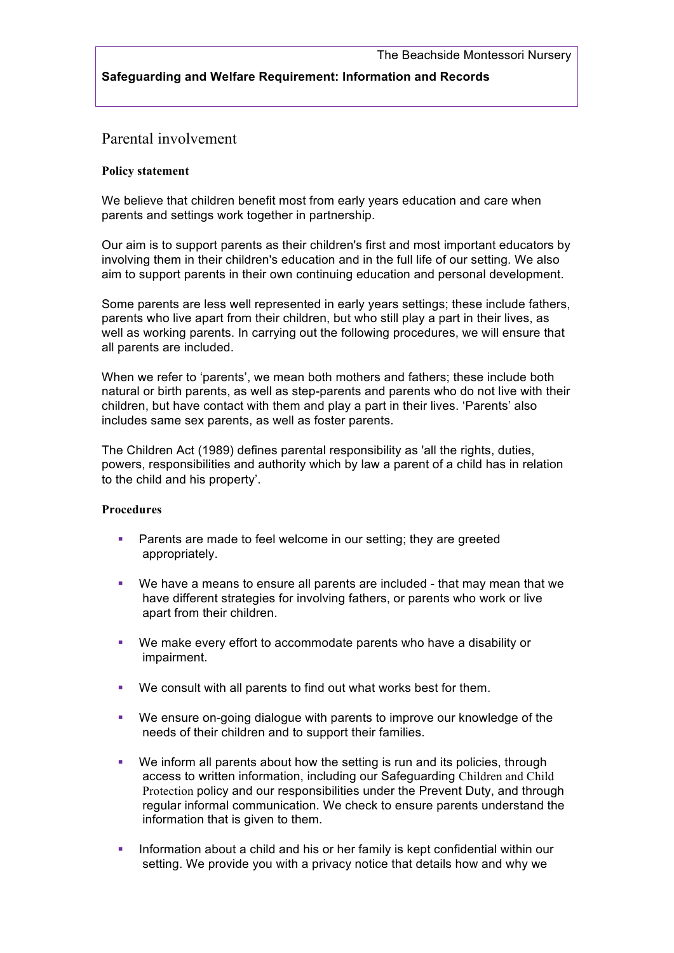## **Safeguarding and Welfare Requirement: Information and Records**

# Parental involvement

#### **Policy statement**

We believe that children benefit most from early years education and care when parents and settings work together in partnership.

Our aim is to support parents as their children's first and most important educators by involving them in their children's education and in the full life of our setting. We also aim to support parents in their own continuing education and personal development.

Some parents are less well represented in early years settings; these include fathers, parents who live apart from their children, but who still play a part in their lives, as well as working parents. In carrying out the following procedures, we will ensure that all parents are included.

When we refer to 'parents', we mean both mothers and fathers; these include both natural or birth parents, as well as step-parents and parents who do not live with their children, but have contact with them and play a part in their lives. 'Parents' also includes same sex parents, as well as foster parents.

The Children Act (1989) defines parental responsibility as 'all the rights, duties, powers, responsibilities and authority which by law a parent of a child has in relation to the child and his property'.

### **Procedures**

- **•** Parents are made to feel welcome in our setting; they are greeted appropriately.
- § We have a means to ensure all parents are included that may mean that we have different strategies for involving fathers, or parents who work or live apart from their children.
- § We make every effort to accommodate parents who have a disability or impairment.
- We consult with all parents to find out what works best for them.
- § We ensure on-going dialogue with parents to improve our knowledge of the needs of their children and to support their families.
- We inform all parents about how the setting is run and its policies, through access to written information, including our Safeguarding Children and Child Protection policy and our responsibilities under the Prevent Duty, and through regular informal communication. We check to ensure parents understand the information that is given to them.
- **•** Information about a child and his or her family is kept confidential within our setting. We provide you with a privacy notice that details how and why we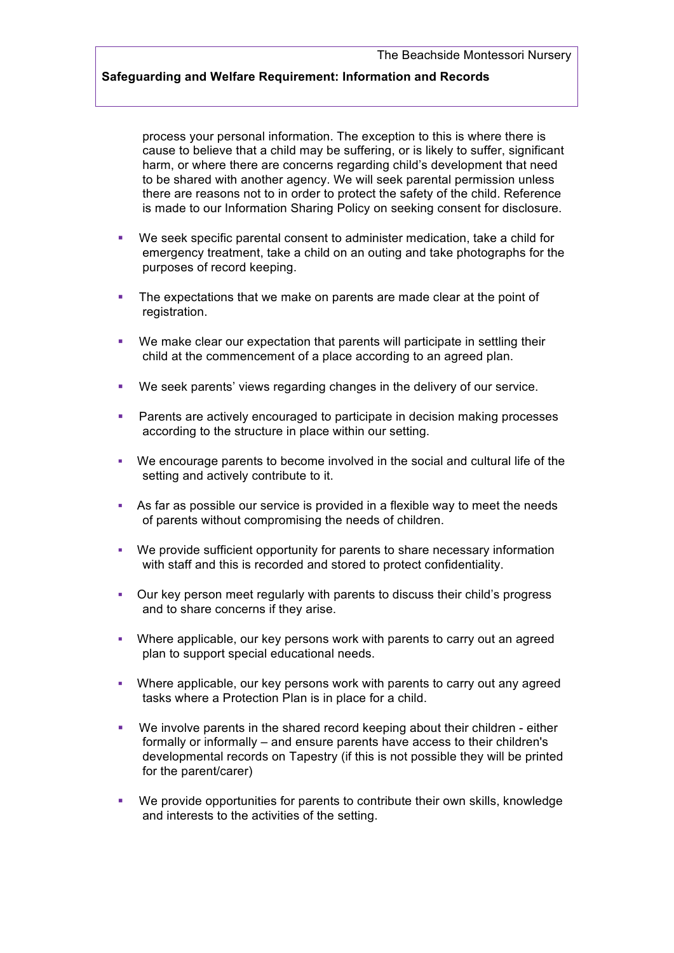### **Safeguarding and Welfare Requirement: Information and Records**

process your personal information. The exception to this is where there is cause to believe that a child may be suffering, or is likely to suffer, significant harm, or where there are concerns regarding child's development that need to be shared with another agency. We will seek parental permission unless there are reasons not to in order to protect the safety of the child. Reference is made to our Information Sharing Policy on seeking consent for disclosure.

- § We seek specific parental consent to administer medication, take a child for emergency treatment, take a child on an outing and take photographs for the purposes of record keeping.
- The expectations that we make on parents are made clear at the point of registration.
- We make clear our expectation that parents will participate in settling their child at the commencement of a place according to an agreed plan.
- § We seek parents' views regarding changes in the delivery of our service.
- § Parents are actively encouraged to participate in decision making processes according to the structure in place within our setting.
- § We encourage parents to become involved in the social and cultural life of the setting and actively contribute to it.
- As far as possible our service is provided in a flexible way to meet the needs of parents without compromising the needs of children.
- We provide sufficient opportunity for parents to share necessary information with staff and this is recorded and stored to protect confidentiality.
- § Our key person meet regularly with parents to discuss their child's progress and to share concerns if they arise.
- § Where applicable, our key persons work with parents to carry out an agreed plan to support special educational needs.
- § Where applicable, our key persons work with parents to carry out any agreed tasks where a Protection Plan is in place for a child.
- We involve parents in the shared record keeping about their children either formally or informally – and ensure parents have access to their children's developmental records on Tapestry (if this is not possible they will be printed for the parent/carer)
- § We provide opportunities for parents to contribute their own skills, knowledge and interests to the activities of the setting.